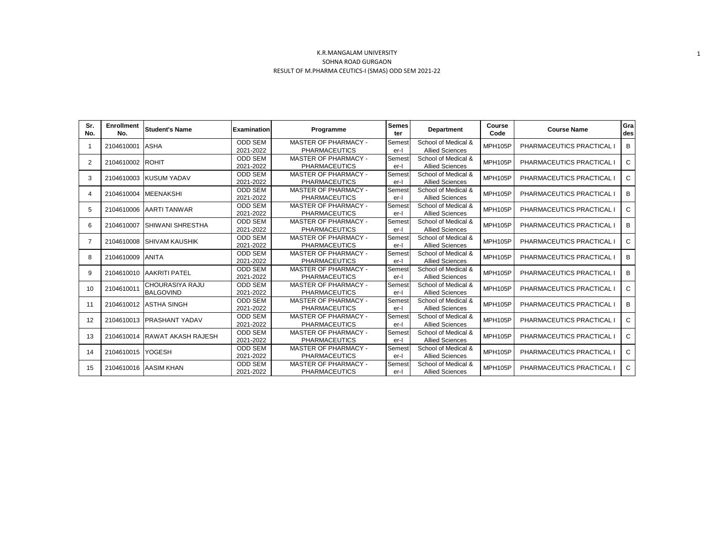| Sr.<br>No.     | <b>Enrollment</b><br>No. | <b>Student's Name</b>                      | <b>Examination</b>          | Programme                                           | <b>Semes</b><br>ter | <b>Department</b>                             | Course<br>Code | <b>Course Name</b>      | Gra<br>des   |
|----------------|--------------------------|--------------------------------------------|-----------------------------|-----------------------------------------------------|---------------------|-----------------------------------------------|----------------|-------------------------|--------------|
| -1             | 2104610001               | <b>ASHA</b>                                | <b>ODD SEM</b><br>2021-2022 | MASTER OF PHARMACY -<br><b>PHARMACEUTICS</b>        | Semest<br>er-l      | School of Medical &<br><b>Allied Sciences</b> | <b>MPH105P</b> | PHARMACEUTICS PRACTICAL | B            |
| 2              | 2104610002               | <b>ROHIT</b>                               | <b>ODD SEM</b><br>2021-2022 | <b>MASTER OF PHARMACY -</b><br><b>PHARMACEUTICS</b> | Semest<br>er-l      | School of Medical &<br><b>Allied Sciences</b> | <b>MPH105P</b> | PHARMACEUTICS PRACTICAL | $\mathbf{C}$ |
| 3              | 2104610003               | <b>KUSUM YADAV</b>                         | <b>ODD SEM</b><br>2021-2022 | <b>MASTER OF PHARMACY -</b><br><b>PHARMACEUTICS</b> | Semest<br>er-l      | School of Medical &<br><b>Allied Sciences</b> | <b>MPH105P</b> | PHARMACEUTICS PRACTICAL | $\mathbf{C}$ |
| 4              | 2104610004               | <b>MEENAKSHI</b>                           | <b>ODD SEM</b><br>2021-2022 | MASTER OF PHARMACY -<br><b>PHARMACEUTICS</b>        | Semest<br>er-l      | School of Medical &<br><b>Allied Sciences</b> | <b>MPH105P</b> | PHARMACEUTICS PRACTICAL | В            |
| 5              | 2104610006               | <b>AARTI TANWAR</b>                        | <b>ODD SEM</b><br>2021-2022 | <b>MASTER OF PHARMACY -</b><br><b>PHARMACEUTICS</b> | Semest<br>er-l      | School of Medical &<br><b>Allied Sciences</b> | <b>MPH105P</b> | PHARMACEUTICS PRACTICAL | $\mathbf{C}$ |
| 6              | 2104610007               | <b>ISHIWANI SHRESTHA</b>                   | <b>ODD SEM</b><br>2021-2022 | MASTER OF PHARMACY -<br><b>PHARMACEUTICS</b>        | Semest<br>er-l      | School of Medical &<br><b>Allied Sciences</b> | <b>MPH105P</b> | PHARMACEUTICS PRACTICAL | В            |
| $\overline{7}$ | 2104610008               | <b>SHIVAM KAUSHIK</b>                      | <b>ODD SEM</b><br>2021-2022 | <b>MASTER OF PHARMACY -</b><br><b>PHARMACEUTICS</b> | Semest<br>er-l      | School of Medical &<br><b>Allied Sciences</b> | <b>MPH105P</b> | PHARMACEUTICS PRACTICAL | $\mathbf{C}$ |
| 8              | 2104610009               | <b>ANITA</b>                               | <b>ODD SEM</b><br>2021-2022 | MASTER OF PHARMACY -<br><b>PHARMACEUTICS</b>        | Semest<br>er-l      | School of Medical &<br><b>Allied Sciences</b> | <b>MPH105P</b> | PHARMACEUTICS PRACTICAL | В            |
| 9              | 2104610010               | <b>AAKRITI PATEL</b>                       | <b>ODD SEM</b><br>2021-2022 | <b>MASTER OF PHARMACY -</b><br><b>PHARMACEUTICS</b> | Semest<br>er-l      | School of Medical &<br><b>Allied Sciences</b> | <b>MPH105P</b> | PHARMACEUTICS PRACTICAL | B            |
| 10             | 2104610011               | <b>CHOURASIYA RAJU</b><br><b>BALGOVIND</b> | <b>ODD SEM</b><br>2021-2022 | <b>MASTER OF PHARMACY -</b><br><b>PHARMACEUTICS</b> | Semest<br>er-l      | School of Medical &<br><b>Allied Sciences</b> | <b>MPH105P</b> | PHARMACEUTICS PRACTICAL | $\mathbf{C}$ |
| 11             | 2104610012               | <b>ASTHA SINGH</b>                         | <b>ODD SEM</b><br>2021-2022 | MASTER OF PHARMACY -<br><b>PHARMACEUTICS</b>        | Semest<br>er-l      | School of Medical &<br><b>Allied Sciences</b> | MPH105P        | PHARMACEUTICS PRACTICAL | В            |
| 12             | 2104610013               | <b>PRASHANT YADAV</b>                      | <b>ODD SEM</b><br>2021-2022 | MASTER OF PHARMACY -<br><b>PHARMACEUTICS</b>        | Semest<br>er-l      | School of Medical &<br><b>Allied Sciences</b> | <b>MPH105P</b> | PHARMACEUTICS PRACTICAL | $\mathbf{C}$ |
| 13             | 2104610014               | <b>RAWAT AKASH RAJESH</b>                  | <b>ODD SEM</b><br>2021-2022 | <b>MASTER OF PHARMACY -</b><br><b>PHARMACEUTICS</b> | Semest<br>er-l      | School of Medical &<br><b>Allied Sciences</b> | <b>MPH105P</b> | PHARMACEUTICS PRACTICAL | C.           |
| 14             | 2104610015               | <b>YOGESH</b>                              | <b>ODD SEM</b><br>2021-2022 | <b>MASTER OF PHARMACY -</b><br><b>PHARMACEUTICS</b> | Semest<br>er-l      | School of Medical &<br><b>Allied Sciences</b> | <b>MPH105P</b> | PHARMACEUTICS PRACTICAL | $\mathbf{C}$ |
| 15             | 2104610016               | <b>AASIM KHAN</b>                          | <b>ODD SEM</b><br>2021-2022 | MASTER OF PHARMACY -<br><b>PHARMACEUTICS</b>        | Semest<br>er-l      | School of Medical &<br><b>Allied Sciences</b> | MPH105P        | PHARMACEUTICS PRACTICAL | C            |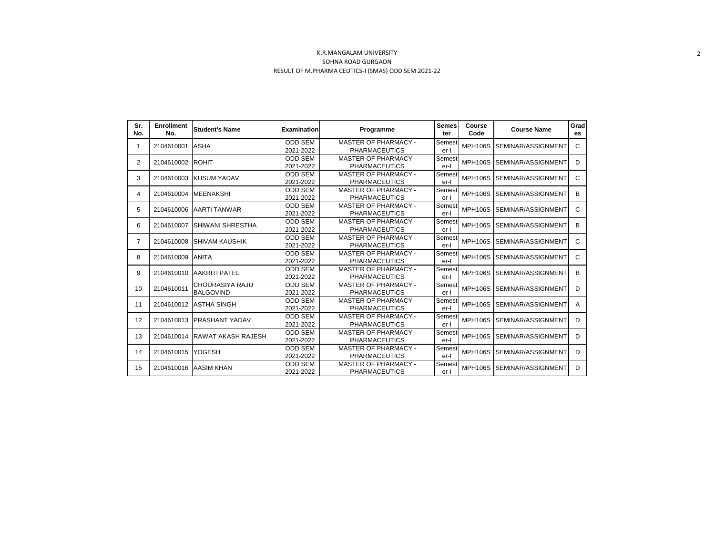| Sr.<br>No.     | <b>Enrollment</b><br>No. | <b>Student's Name</b>                      | <b>Examination</b>          | <b>Semes</b><br>Programme                           |                | Course<br>Code | <b>Course Name</b>         | Grad<br>es |
|----------------|--------------------------|--------------------------------------------|-----------------------------|-----------------------------------------------------|----------------|----------------|----------------------------|------------|
| 1              | 2104610001               | <b>ASHA</b>                                | <b>ODD SEM</b><br>2021-2022 | <b>MASTER OF PHARMACY -</b><br><b>PHARMACEUTICS</b> | Semest<br>er-l | <b>MPH106S</b> | <b>SEMINAR/ASSIGNMENT</b>  | C          |
| 2              | 2104610002               | <b>ROHIT</b>                               | <b>ODD SEM</b><br>2021-2022 | <b>MASTER OF PHARMACY -</b><br><b>PHARMACEUTICS</b> | Semest<br>er-l | <b>MPH106S</b> | <b>SEMINAR/ASSIGNMENT</b>  | D          |
| 3              | 2104610003               | <b>KUSUM YADAV</b>                         | <b>ODD SEM</b><br>2021-2022 | <b>MASTER OF PHARMACY -</b><br><b>PHARMACEUTICS</b> | Semest<br>er-l | <b>MPH106S</b> | SEMINAR/ASSIGNMENT         | C          |
| 4              | 2104610004               | <b>MEENAKSHI</b>                           | <b>ODD SEM</b><br>2021-2022 | <b>MASTER OF PHARMACY -</b><br><b>PHARMACEUTICS</b> | Semest<br>er-l | <b>MPH106S</b> | <b>ISEMINAR/ASSIGNMENT</b> | B          |
| 5              | 2104610006               | <b>AARTI TANWAR</b>                        | <b>ODD SEM</b><br>2021-2022 | <b>MASTER OF PHARMACY -</b><br><b>PHARMACEUTICS</b> | Semest<br>er-l | <b>MPH106S</b> | <b>ISEMINAR/ASSIGNMENT</b> | C          |
| 6              | 2104610007               | ISHIWANI SHRESTHA                          | <b>ODD SEM</b><br>2021-2022 | <b>MASTER OF PHARMACY -</b><br><b>PHARMACEUTICS</b> | Semest<br>er-l | <b>MPH106S</b> | <b>SEMINAR/ASSIGNMENT</b>  | B          |
| $\overline{7}$ | 2104610008               | ISHIVAM KAUSHIK                            | <b>ODD SEM</b><br>2021-2022 | MASTER OF PHARMACY -<br><b>PHARMACEUTICS</b>        | Semest<br>er-l | <b>MPH106S</b> | <b>ISEMINAR/ASSIGNMENT</b> | C          |
| 8              | 2104610009               | <b>ANITA</b>                               | <b>ODD SEM</b><br>2021-2022 | <b>MASTER OF PHARMACY -</b><br><b>PHARMACEUTICS</b> | Semest<br>er-l | <b>MPH106S</b> | <b>SEMINAR/ASSIGNMENT</b>  | C          |
| 9              | 2104610010               | <b>AAKRITI PATEL</b>                       | <b>ODD SEM</b><br>2021-2022 | <b>MASTER OF PHARMACY -</b><br><b>PHARMACEUTICS</b> | Semest<br>er-l | <b>MPH106S</b> | SEMINAR/ASSIGNMENT         | B          |
| 10             | 2104610011               | <b>CHOURASIYA RAJU</b><br><b>BALGOVIND</b> | <b>ODD SEM</b><br>2021-2022 | <b>MASTER OF PHARMACY -</b><br><b>PHARMACEUTICS</b> | Semest<br>er-l | <b>MPH106S</b> | <b>SEMINAR/ASSIGNMENT</b>  | D          |
| 11             | 2104610012               | <b>ASTHA SINGH</b>                         | <b>ODD SEM</b><br>2021-2022 | <b>MASTER OF PHARMACY -</b><br><b>PHARMACEUTICS</b> | Semest<br>er-l | <b>MPH106S</b> | SEMINAR/ASSIGNMENT         | A          |
| 12             | 2104610013               | <b>IPRASHANT YADAV</b>                     | <b>ODD SEM</b><br>2021-2022 | <b>MASTER OF PHARMACY -</b><br><b>PHARMACEUTICS</b> | Semest<br>er-l | <b>MPH106S</b> | <b>ISEMINAR/ASSIGNMENT</b> | D          |
| 13             | 2104610014               | <b>RAWAT AKASH RAJESH</b>                  | <b>ODD SEM</b><br>2021-2022 | <b>MASTER OF PHARMACY -</b><br><b>PHARMACEUTICS</b> | Semest<br>er-l | <b>MPH106S</b> | <b>SEMINAR/ASSIGNMENT</b>  | D          |
| 14             | 2104610015               | <b>YOGESH</b>                              | <b>ODD SEM</b><br>2021-2022 | <b>MASTER OF PHARMACY -</b><br><b>PHARMACEUTICS</b> | Semest<br>er-l | <b>MPH106S</b> | <b>ISEMINAR/ASSIGNMENT</b> | D          |
| 15             | 2104610016               | <b>AASIM KHAN</b>                          | <b>ODD SEM</b><br>2021-2022 | <b>MASTER OF PHARMACY -</b><br><b>PHARMACEUTICS</b> | Semest<br>er-l |                | MPH106S SEMINAR/ASSIGNMENT | D          |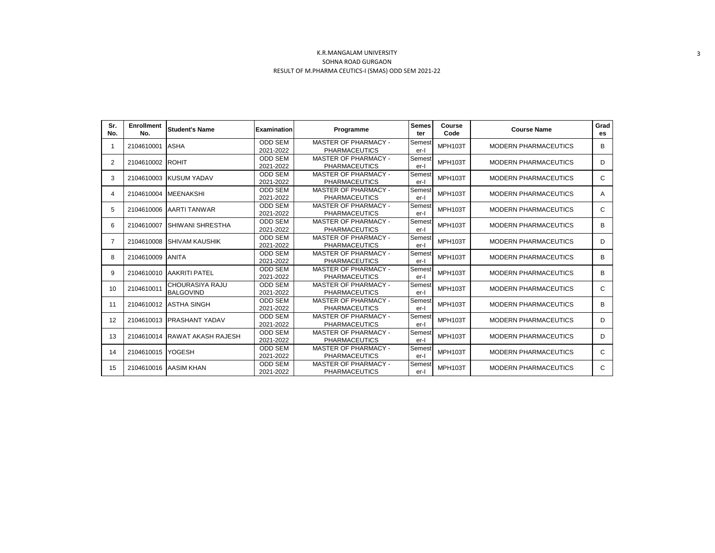| Sr.<br>No. | <b>Enrollment</b><br>No. | <b>Student's Name</b>               | Examination                 | Programme                                           | <b>Semes</b><br>ter | Course<br>Code | <b>Course Name</b>          | Grad<br>es |
|------------|--------------------------|-------------------------------------|-----------------------------|-----------------------------------------------------|---------------------|----------------|-----------------------------|------------|
|            | 2104610001               | <b>ASHA</b>                         | <b>ODD SEM</b><br>2021-2022 | MASTER OF PHARMACY -<br><b>PHARMACEUTICS</b>        | Semest<br>er-l      | <b>MPH103T</b> | <b>MODERN PHARMACEUTICS</b> | В          |
| 2          | 2104610002               | <b>ROHIT</b>                        | <b>ODD SEM</b><br>2021-2022 | <b>MASTER OF PHARMACY -</b><br><b>PHARMACEUTICS</b> | Semest<br>$er-I$    | <b>MPH103T</b> | <b>MODERN PHARMACEUTICS</b> | D          |
| 3          | 2104610003               | <b>KUSUM YADAV</b>                  | <b>ODD SEM</b><br>2021-2022 | MASTER OF PHARMACY -<br><b>PHARMACEUTICS</b>        | Semest<br>er-l      | <b>MPH103T</b> | <b>MODERN PHARMACEUTICS</b> | C          |
| 4          | 2104610004               | <b>MEENAKSHI</b>                    | <b>ODD SEM</b><br>2021-2022 | <b>MASTER OF PHARMACY -</b><br><b>PHARMACEUTICS</b> | Semest<br>er-l      | <b>MPH103T</b> | <b>MODERN PHARMACEUTICS</b> | A          |
| 5          | 2104610006               | <b>AARTI TANWAR</b>                 | <b>ODD SEM</b><br>2021-2022 | MASTER OF PHARMACY -<br><b>PHARMACEUTICS</b>        | Semest<br>er-l      | <b>MPH103T</b> | <b>MODERN PHARMACEUTICS</b> | C          |
| 6          | 2104610007               | <b>SHIWANI SHRESTHA</b>             | <b>ODD SEM</b><br>2021-2022 | <b>MASTER OF PHARMACY -</b><br><b>PHARMACEUTICS</b> | Semest<br>er-l      | <b>MPH103T</b> | <b>MODERN PHARMACEUTICS</b> | B          |
| 7          | 2104610008               | <b>SHIVAM KAUSHIK</b>               | <b>ODD SEM</b><br>2021-2022 | MASTER OF PHARMACY -<br><b>PHARMACEUTICS</b>        | Semest<br>er-l      | <b>MPH103T</b> | <b>MODERN PHARMACEUTICS</b> | D          |
| 8          | 2104610009               | <b>ANITA</b>                        | <b>ODD SEM</b><br>2021-2022 | <b>MASTER OF PHARMACY -</b><br><b>PHARMACEUTICS</b> | Semest<br>er-l      | <b>MPH103T</b> | <b>MODERN PHARMACEUTICS</b> | В          |
| 9          | 2104610010               | <b>AAKRITI PATEL</b>                | <b>ODD SEM</b><br>2021-2022 | MASTER OF PHARMACY -<br><b>PHARMACEUTICS</b>        | Semest<br>er-l      | <b>MPH103T</b> | <b>MODERN PHARMACEUTICS</b> | В          |
| 10         | 2104610011               | CHOURASIYA RAJU<br><b>BALGOVIND</b> | <b>ODD SEM</b><br>2021-2022 | MASTER OF PHARMACY -<br><b>PHARMACEUTICS</b>        | Semest<br>$er-I$    | <b>MPH103T</b> | <b>MODERN PHARMACEUTICS</b> | C          |
| 11         | 2104610012               | <b>ASTHA SINGH</b>                  | <b>ODD SEM</b><br>2021-2022 | <b>MASTER OF PHARMACY -</b><br><b>PHARMACEUTICS</b> | Semest<br>er-l      | <b>MPH103T</b> | <b>MODERN PHARMACEUTICS</b> | B          |
| 12         | 2104610013               | <b>PRASHANT YADAV</b>               | <b>ODD SEM</b><br>2021-2022 | MASTER OF PHARMACY -<br><b>PHARMACEUTICS</b>        | Semest<br>er-l      | <b>MPH103T</b> | <b>MODERN PHARMACEUTICS</b> | D          |
| 13         | 2104610014               | <b>RAWAT AKASH RAJESH</b>           | <b>ODD SEM</b><br>2021-2022 | MASTER OF PHARMACY -<br><b>PHARMACEUTICS</b>        | Semest<br>er-l      | <b>MPH103T</b> | <b>MODERN PHARMACEUTICS</b> | D          |
| 14         | 2104610015               | <b>YOGESH</b>                       | <b>ODD SEM</b><br>2021-2022 | MASTER OF PHARMACY -<br><b>PHARMACEUTICS</b>        | Semest<br>er-l      | <b>MPH103T</b> | <b>MODERN PHARMACEUTICS</b> | C          |
| 15         | 2104610016               | <b>AASIM KHAN</b>                   | ODD SEM<br>2021-2022        | <b>MASTER OF PHARMACY -</b><br><b>PHARMACEUTICS</b> | Semest<br>er-l      | <b>MPH103T</b> | <b>MODERN PHARMACEUTICS</b> | C          |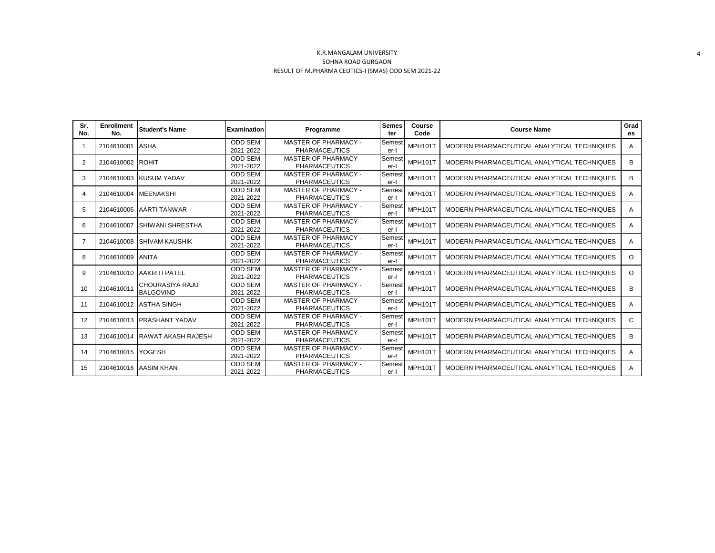| Sr.<br>No.     | <b>Enrollment</b><br>No. | <b>Student's Name</b>               | Examination                 | Programme                                           | <b>Semes</b><br>ter | Course<br>Code | <b>Course Name</b>                          | Grad<br>es   |
|----------------|--------------------------|-------------------------------------|-----------------------------|-----------------------------------------------------|---------------------|----------------|---------------------------------------------|--------------|
|                | 2104610001               | <b>ASHA</b>                         | <b>ODD SEM</b><br>2021-2022 | <b>MASTER OF PHARMACY -</b><br><b>PHARMACEUTICS</b> | Semest<br>er-l      | <b>MPH101T</b> | MODERN PHARMACEUTICAL ANALYTICAL TECHNIQUES | A            |
| $\overline{2}$ | 2104610002               | <b>ROHIT</b>                        | <b>ODD SEM</b><br>2021-2022 | MASTER OF PHARMACY -<br><b>PHARMACEUTICS</b>        | Semest<br>er-l      | <b>MPH101T</b> | MODERN PHARMACEUTICAL ANALYTICAL TECHNIQUES | B            |
| 3              |                          | 2104610003 KUSUM YADAV              | <b>ODD SEM</b><br>2021-2022 | <b>MASTER OF PHARMACY -</b><br><b>PHARMACEUTICS</b> | Semest<br>er-l      | <b>MPH101T</b> | MODERN PHARMACEUTICAL ANALYTICAL TECHNIQUES | B            |
| $\overline{4}$ | 2104610004               | <b>MEENAKSHI</b>                    | <b>ODD SEM</b><br>2021-2022 | MASTER OF PHARMACY -<br><b>PHARMACEUTICS</b>        | Semest<br>er-l      | <b>MPH101T</b> | MODERN PHARMACEUTICAL ANALYTICAL TECHNIQUES | A            |
| 5              | 2104610006               | <b>JAARTI TANWAR</b>                | <b>ODD SEM</b><br>2021-2022 | <b>MASTER OF PHARMACY -</b><br><b>PHARMACEUTICS</b> | Semest<br>er-l      | <b>MPH101T</b> | MODERN PHARMACEUTICAL ANALYTICAL TECHNIQUES | A            |
| 6              | 2104610007               | <b>SHIWANI SHRESTHA</b>             | <b>ODD SEM</b><br>2021-2022 | <b>MASTER OF PHARMACY -</b><br><b>PHARMACEUTICS</b> | Semest<br>er-l      | <b>MPH101T</b> | MODERN PHARMACEUTICAL ANALYTICAL TECHNIQUES | A            |
| $\overline{7}$ | 2104610008               | <b>SHIVAM KAUSHIK</b>               | <b>ODD SEM</b><br>2021-2022 | <b>MASTER OF PHARMACY -</b><br><b>PHARMACEUTICS</b> | Semest<br>er-l      | <b>MPH101T</b> | MODERN PHARMACEUTICAL ANALYTICAL TECHNIQUES | A            |
| 8              | 2104610009               | <b>ANITA</b>                        | <b>ODD SEM</b><br>2021-2022 | <b>MASTER OF PHARMACY -</b><br><b>PHARMACEUTICS</b> | Semest<br>er-l      | <b>MPH101T</b> | MODERN PHARMACEUTICAL ANALYTICAL TECHNIQUES | $\circ$      |
| 9              |                          | 2104610010 AAKRITI PATEL            | <b>ODD SEM</b><br>2021-2022 | <b>MASTER OF PHARMACY -</b><br><b>PHARMACEUTICS</b> | Semest<br>er-l      | <b>MPH101T</b> | MODERN PHARMACEUTICAL ANALYTICAL TECHNIQUES | $\circ$      |
| 10             | 2104610011               | CHOURASIYA RAJU<br><b>BALGOVIND</b> | <b>ODD SEM</b><br>2021-2022 | <b>MASTER OF PHARMACY -</b><br><b>PHARMACEUTICS</b> | Semest<br>er-l      | <b>MPH101T</b> | MODERN PHARMACEUTICAL ANALYTICAL TECHNIQUES | B            |
| 11             |                          | 2104610012 ASTHA SINGH              | <b>ODD SEM</b><br>2021-2022 | <b>MASTER OF PHARMACY -</b><br><b>PHARMACEUTICS</b> | Semest<br>er-l      | <b>MPH101T</b> | MODERN PHARMACEUTICAL ANALYTICAL TECHNIQUES | A            |
| 12             | 2104610013               | <b>PRASHANT YADAV</b>               | <b>ODD SEM</b><br>2021-2022 | <b>MASTER OF PHARMACY -</b><br><b>PHARMACEUTICS</b> | Semest<br>er-l      | <b>MPH101T</b> | MODERN PHARMACEUTICAL ANALYTICAL TECHNIQUES | $\mathbf{C}$ |
| 13             |                          | 2104610014 RAWAT AKASH RAJESH       | <b>ODD SEM</b><br>2021-2022 | <b>MASTER OF PHARMACY -</b><br><b>PHARMACEUTICS</b> | Semest<br>er-l      | <b>MPH101T</b> | MODERN PHARMACEUTICAL ANALYTICAL TECHNIQUES | B            |
| 14             | 2104610015               | <b>YOGESH</b>                       | <b>ODD SEM</b><br>2021-2022 | <b>MASTER OF PHARMACY -</b><br><b>PHARMACEUTICS</b> | Semest<br>er-l      | <b>MPH101T</b> | MODERN PHARMACEUTICAL ANALYTICAL TECHNIQUES | A            |
| 15             |                          | 2104610016 AASIM KHAN               | <b>ODD SEM</b><br>2021-2022 | <b>MASTER OF PHARMACY -</b><br><b>PHARMACEUTICS</b> | Semest<br>er-l      | <b>MPH101T</b> | MODERN PHARMACEUTICAL ANALYTICAL TECHNIQUES | A            |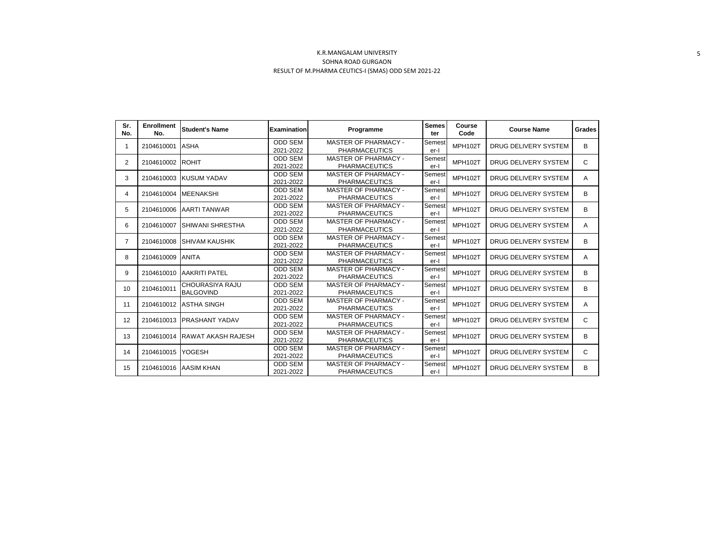| Sr.<br>No.     | <b>Enrollment</b><br>No. | <b>Student's Name</b>     | <b>Examination</b> | Programme                   | <b>Semes</b><br>ter | Course<br>Code | <b>Course Name</b>   | Grades |
|----------------|--------------------------|---------------------------|--------------------|-----------------------------|---------------------|----------------|----------------------|--------|
|                | 2104610001               | ASHA                      | <b>ODD SEM</b>     | <b>MASTER OF PHARMACY -</b> | Semest              | <b>MPH102T</b> | DRUG DELIVERY SYSTEM | B      |
|                |                          |                           | 2021-2022          | <b>PHARMACEUTICS</b>        | er-l                |                |                      |        |
|                | 2<br>2104610002          | <b>ROHIT</b>              | <b>ODD SEM</b>     | MASTER OF PHARMACY -        | Semest              | <b>MPH102T</b> | DRUG DELIVERY SYSTEM | C      |
|                |                          |                           | 2021-2022          | <b>PHARMACEUTICS</b>        | er-l                |                |                      |        |
| 3              |                          | 2104610003 KUSUM YADAV    | <b>ODD SEM</b>     | <b>MASTER OF PHARMACY -</b> | Semest              | <b>MPH102T</b> | DRUG DELIVERY SYSTEM | A      |
|                |                          |                           | 2021-2022          | <b>PHARMACEUTICS</b>        | er-l                |                |                      |        |
| 4              | 2104610004               | <b>MEENAKSHI</b>          | <b>ODD SEM</b>     | <b>MASTER OF PHARMACY -</b> | Semest              | <b>MPH102T</b> | DRUG DELIVERY SYSTEM | B      |
|                |                          |                           | 2021-2022          | <b>PHARMACEUTICS</b>        | er-l                |                |                      |        |
| 5              | 2104610006               | <b>AARTI TANWAR</b>       | <b>ODD SEM</b>     | <b>MASTER OF PHARMACY -</b> | Semest              | <b>MPH102T</b> | DRUG DELIVERY SYSTEM | B      |
|                |                          |                           | 2021-2022          | <b>PHARMACEUTICS</b>        | er-l                |                |                      |        |
| 6              | 2104610007               | SHIWANI SHRESTHA          | <b>ODD SEM</b>     | MASTER OF PHARMACY -        | Semest              | MPH102T        | DRUG DELIVERY SYSTEM | A      |
|                |                          |                           | 2021-2022          | <b>PHARMACEUTICS</b>        | er-l                |                |                      |        |
| $\overline{7}$ | 2104610008               | <b>SHIVAM KAUSHIK</b>     | <b>ODD SEM</b>     | <b>MASTER OF PHARMACY -</b> | Semest              | <b>MPH102T</b> | DRUG DELIVERY SYSTEM | B      |
|                |                          |                           | 2021-2022          | <b>PHARMACEUTICS</b>        | er-l                |                |                      |        |
| 8              | 2104610009               | <b>ANITA</b>              | <b>ODD SEM</b>     | <b>MASTER OF PHARMACY -</b> | Semest              | MPH102T        | DRUG DELIVERY SYSTEM | A      |
|                |                          |                           | 2021-2022          | <b>PHARMACEUTICS</b>        | er-l                |                |                      |        |
| 9              | 2104610010               | <b>AAKRITI PATEL</b>      | <b>ODD SEM</b>     | MASTER OF PHARMACY -        | Semest              | <b>MPH102T</b> | DRUG DELIVERY SYSTEM | B      |
|                |                          |                           | 2021-2022          | <b>PHARMACEUTICS</b>        | er-l                |                |                      |        |
| 10             | 2104610011               | <b>CHOURASIYA RAJU</b>    | <b>ODD SEM</b>     | <b>MASTER OF PHARMACY -</b> | Semest              | <b>MPH102T</b> | DRUG DELIVERY SYSTEM | B      |
|                |                          | <b>BALGOVIND</b>          | 2021-2022          | <b>PHARMACEUTICS</b>        | er-l                |                |                      |        |
| 11             | 2104610012               | <b>ASTHA SINGH</b>        | <b>ODD SEM</b>     | <b>MASTER OF PHARMACY -</b> | Semest              | MPH102T        | DRUG DELIVERY SYSTEM | A      |
|                |                          |                           | 2021-2022          | <b>PHARMACEUTICS</b>        | er-l                |                |                      |        |
| 12             | 2104610013               | <b>PRASHANT YADAV</b>     | <b>ODD SEM</b>     | <b>MASTER OF PHARMACY -</b> | Semest              | MPH102T        | DRUG DELIVERY SYSTEM | C      |
|                |                          |                           | 2021-2022          | <b>PHARMACEUTICS</b>        | er-l                |                |                      |        |
|                |                          |                           | <b>ODD SEM</b>     | MASTER OF PHARMACY -        | Semest              | MPH102T        | DRUG DELIVERY SYSTEM |        |
| 13             | 2104610014               | <b>RAWAT AKASH RAJESH</b> | 2021-2022          | <b>PHARMACEUTICS</b>        | er-l                |                |                      | B      |
|                |                          |                           | <b>ODD SEM</b>     | MASTER OF PHARMACY -        | Semest              |                |                      |        |
| 14             | 2104610015               | YOGESH                    | 2021-2022          | <b>PHARMACEUTICS</b>        | er-l                | MPH102T        | DRUG DELIVERY SYSTEM | C      |
|                |                          |                           | <b>ODD SEM</b>     | <b>MASTER OF PHARMACY -</b> | Semest              |                |                      | B      |
| 15             | 2104610016               | <b>AASIM KHAN</b>         | 2021-2022          | <b>PHARMACEUTICS</b>        | er-l                | MPH102T        | DRUG DELIVERY SYSTEM |        |